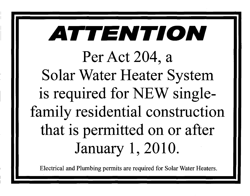# **ATTENTION Per Act 204, a Solar Water Heater System is required for** NEW **singlefamily residential construction that is permitted on or after January 1,2010.**

Electrical and Plumbing permits are required for Solar Water Heaters.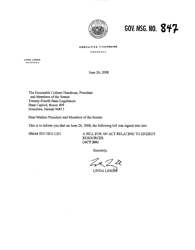

**GOV. MSG. NO. 847-**

#### **EXECUTIVE CHAMBERS**

**HONOl.ULU** 

**LINDA LINGLE GOVERNOR** 

June 26, 2008

The Honorable Colleen Hanabusa, President and Members of the Senate Twenty-Fourth State Legislature State Capitol, Room 409 Honolulu, Hawaii 96813

Dear Madam President and Members of the Senate:

This is to inform you that on June 26, 2008, the following bill was signed into law:

SB644 SD3 HD3 CD1 A BILL FOR AN ACT RELATING TO ENERGY RESOURCES. (ACT 204)

Sincerely,

 $zzz$ 

LINDA LINGEE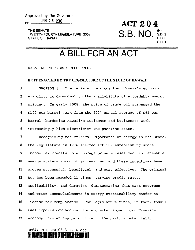THE SENATE TWENTY-FOURTH LEGISLATURE, 2008 STATE OF HAWAII

**ACT 204 S.B. NO. 644** S.D.3 H.D.3 *CD.1* 

### **A BILL FOR AN ACT**

RELATING TO ENERGY RESOURCES.

#### BE IT ENACTED BY THE LEGISLATURE OF THE STATE OF HAWAII:

1 SECTION 1. The legislature finds that Hawaii's economic 2 viability is dependent on the availability of affordable energy 3 pricing. In early 2008, the price of crude oil surpassed the 4 \$100 per barrel mark from the 2007 annual average of \$65 per 5 barrel, burdening Hawaii's residents and businesses with 6 increasingly high electricity and gasoline costs.

7 Recognizing the critical importance of energy to the State, 8 the legislature in 1976 enacted Act 189 establishing state 9 income tax credits to encourage private investment in renewable 10 energy systems among other measures, and these incentives have 11 proven successful, beneficial, and cost effective. The original 12 Act has been amended 11 times, varying credit rates, 13 applicability, and duration, demonstrating that past progress 14 and prior accomplishments in energy sustainability confer no 15 license for complacence. The legislature finds, in fact, fossil 16 fuel imports now account for a greater impact upon Hawaii's 17 economy than at any prior time in the past, substantially

#### SB644 CDI LRB 08-3l12-4.doc 110.JLI TIILIHURUSTI TEKE III JIR GRAI EIH ILIHI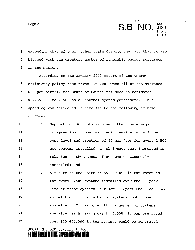Page 2 **S.B. NO.**  $^{644}_{\text{HD}}$ S.D.3 H.D.3 C.D.1

 $\pmb{\mathsf{a}}$ 

1 exceeding that of every other state despite the fact that we are 2 blessed with the greatest number of renewable energy resources 3 in the nation.

4 According to the January 2002 report of the energy-5 efficiency policy task force, in 2001 when oil prices averaged 6 \$23 per barrel, the State of Hawaii refunded an estimated 7 \$2,765,000 to 2,500 solar thermal system purchasers. This 8 spending was estimated to have led to the following economic 9 outcomes:

10 (1 ) Support for 300 jobs each year that the energy 11 conservation income tax credit remained at a 35 per 12 cent level and creation of 64 new jobs for every 2,500 13 new systems installed, a job impact that increased in 14 relation to the number of systems continuously 15 installed; and

16 (2) A return to the State of \$5,200,000 in tax revenues 17 for every 2,500 systems installed over the 25-year 18 life of these systems, a revenue impact that increased 19 in relation to the number of systems continuously 20 installed. For example, if the number of systems 21 installed each year grows to 5,000, it was predicted 22 that \$10,400,000 in tax revenue would be generated

SB644 eDl LRB 08-3ll2-4.doc Illn ••• lmIImml~IIIIIIIIIII~ •• 11111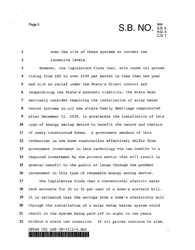Page 3 **S.B. NO.**  ${}^{644}_{8.0}$ S.D. 3 H.D.3 C.D.1

 $\mathbf{I}$ 

1 over the life of these systems at current tax 2 incentive levels. 3 However, the legislature finds that, with crude oil prices 4 rising from \$65 to over \$100 per barrel in less than one year 5 and with no relief under the State's direct control and 6 jeopardizing the State's economic viability, the State must 7 seriously consider requiring the installation of solar water 8 heater systems in all new single-family dwellings constructed 9 after December 31, 2009, to accelerate the installation of this **<sup>10</sup>**type of energy saving device to benefit the owners and renters **<sup>11</sup>**of newly constructed homes. A government mandate of this **<sup>12</sup>**technology in new home construction effectively shifts from **13** government investment in this technology via tax credits to a 14 required investment by the private sector that will result in **<sup>15</sup>**greater benefit to the public at large through the prudent **<sup>16</sup>**investment in this type of renewable energy saving device.

The legislature finds that a conventional electric water tank accounts for 30 to 35 per cent of a home's electric bill. It is estimated that the savings from a home's electricity bill through the installation of a solar water heater system could result in the system being paid off in eight to ten years without a state tax incentive. If oil prices continue to rise,

#### SB644 CDl LRB 08-3ll2-4.doc IUEIDEN IULUU U LUBI PAI 1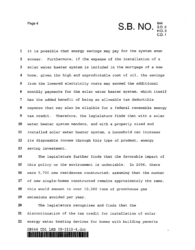

1 it is possible that energy savings may pay for the system even 2 sooner. Furthermore, if the expense of the installation of a 3 solar water heater system is included in the mortgage of a new 4 home, given the high and unpredictable cost of oil, the savings 5 from the lowered electricity costs may exceed the additional 6 monthly payments for the solar water heater system, which itself 7 has the added benefit of being an allowable tax deductible 8 expense that may also be eligible for a federal renewable energy 9 tax credit. Therefore, the legislature finds that with a solar 10 water heater system mandate, and with a properly sized and 11 installed solar water heater system, a household can increase 12 its disposable income through this type of prudent, energy 13 saving investment.

14 The legislature further finds that the favorable impact of 15 this policy on the environment is undeniable. In 2006, there 16 were 5,700 new residences constructed; assuming that the number 17 of new single-homes constructed remains approximately the same, 18 this would amount to over 10,260 tons of greenhouse gas 19 emissions avoided per year.

20 The legislature recognizes and finds that the 21 discontinuation of the tax credit for installation of solar 22 energy water heating devices for homes with building permits SB644 CDl LRB OB-3ll2-4,doc 1914) Italia 1. juuni 111 ja 112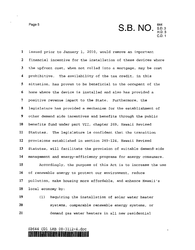Page 5<br> **S.B. NO.**  ${}^{644}_{8.0}$ S.D.3 H.D.3 C.D.1

ś

1 issued prior to January 1, 2010, would remove an important 2 financial incentive for the installation of these devices where 3 the upfront cost, when not rolled into a mortgage, may be cost 4 prohibitive. The availability of the tax credit, in this 5 situation, has proven to be beneficial to the occupant of the 6 home where the device is installed and also has provided a 7 positive revenue impact to the State. Furthermore, the 8 legislature has provided a mechanism for the establishment of 9 other demand side incentives and benefits through the public **<sup>10</sup>**benefits fund under part VII, chapter 269, Hawaii Revised **<sup>11</sup>**Statutes. The legislature is confident that the transition **12** provisions established in section 269-124, Hawaii Revised 13 Statutes, will facilitate the provision of suitable demand-side **14** management and energy-efficiency programs for energy consumers. **<sup>15</sup>**Accordingly, the purpose of this Act is to increase the use

**16** of renewable energy to protect our environment, reduce **17** pollution, make housing more affordable, and enhance Hawaii's **18** local economy by:

**<sup>19</sup>**(1) Requiring the installation of solar water heater **20** systems, comparable renewable energy systems, or **<sup>21</sup>**demand gas water heaters in all new residential

#### SB644 CDl LRB 08-3l12-4.doc 11.~lllallli!III.~.IIIIIIUU~IIIIIIUII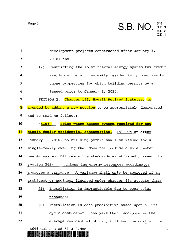Page 6

1

2

|                                                   | S.B. NO. S.D.3 | C.D. 1 |
|---------------------------------------------------|----------------|--------|
| development projects constructed after January 1, |                |        |
| $2010;$ and                                       |                |        |

 $\ddot{\bullet}$ 

3 4 5 6 7 (2) Restricting the solar thermal energy system tax credit available for single-family residential properties to those properties for which building permits were issued prior to January 1, 2010. SECTION 2. Chapter 196, Hawaii Revised Statutes, is 8 amended by adding a new section to be appropriately designated 9 and to read as follows: **10 "5196- Solar water heater system required for new**  11 single-family residential construction. (a) On or after **12** January 1, 2010, no building permit shall be issued for a **13** single-family dwelling that does not include a solar water **14** heater system that meets' the standards established pursuant to **15** section 269- , .unless the energy resources coordinator

**<sup>16</sup>**approves a variance. A variance shall only be approved if an

**<sup>17</sup>**architect or engineer licensed under chapter 464 attests that:

18 (1) Installation is impracticable due to poor solar

**19 resource;** 

- <sup>20</sup>~ Installation is cost-prohibitive based upon a life
- **21** cycle cost-benefit analysis that incorporates the
- **<sup>22</sup>**average residential utility bill and the cost of the

SB644 CDI LRB 08-3112-4.doc

IIIB •• IIIIDlnllll~IIII.lllmlllil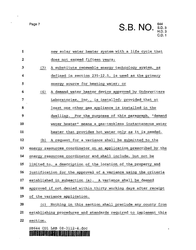$\lambda$ 

 $\ddot{\phantom{0}}$ 

Page 7 **S.B. NO.**  ${}^{644}_{\text{H.D.3}}$ H.D.3  $C.D.1$ 

| $\mathbf{1}$     |                                                                  | new solar water heater system with a life cycle that             |  |  |
|------------------|------------------------------------------------------------------|------------------------------------------------------------------|--|--|
| $\boldsymbol{2}$ |                                                                  | does not exceed fifteen years;                                   |  |  |
| 3                | (3)                                                              | A substitute renewable energy technology system, as              |  |  |
| 4                |                                                                  | defined in section 235-12.5, is used as the primary              |  |  |
| 5                |                                                                  | energy source for heating water; or                              |  |  |
| 6                | (4)                                                              | A demand water heater device approved by Underwriters            |  |  |
| 7                |                                                                  | Laboratories, Inc., is installed; provided that at               |  |  |
| 8                |                                                                  | least one other gas appliance is installed in the                |  |  |
| 9                |                                                                  | dwelling. For the purposes of this paragraph, "demand            |  |  |
| 10               |                                                                  | water heater" means a gas-tankless instantaneous water           |  |  |
| 11               |                                                                  | heater that provides hot water only as it is needed.             |  |  |
| 12               | (b)                                                              | A request for a variance shall be submitted to the               |  |  |
| 13               |                                                                  | energy resources coordinator on an application prescribed by the |  |  |
| 14               | energy resources coordinator and shall include, but not be       |                                                                  |  |  |
| 15               | limited to, a description of the location of the property and    |                                                                  |  |  |
| 16               | justification for the approval of a variance using the criteria  |                                                                  |  |  |
| 17               | established in subsection (a). A variance shall be deemed        |                                                                  |  |  |
| 18               | approved if not denied within thirty working days after receipt  |                                                                  |  |  |
| 19               | of the variance application.                                     |                                                                  |  |  |
| 20               | (C)                                                              | Nothing in this section shall preclude any county from           |  |  |
| 21               | establishing procedures and standards required to implement this |                                                                  |  |  |
| 22               | section.                                                         |                                                                  |  |  |
|                  |                                                                  | SB644 CD1 LRB 08-3112-4.doc<br><b>TERRIAL BAT</b>                |  |  |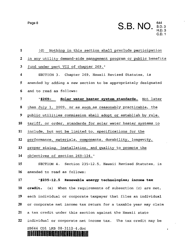Page 8 **S.B. NO.** S.D. 3 H.D.3 C.D.1

 $\mathbf{r}$ 

 $\blacksquare$ 

| $\mathbf{1}$     | Nothing in this section shall preclude participation<br>(d)      |
|------------------|------------------------------------------------------------------|
| $\boldsymbol{2}$ | in any utility demand-side management program or public benefits |
| 3                | fund under part VII of chapter 269."                             |
| 4                | SECTION 3. Chapter 269, Hawaii Revised Statutes, is              |
| 5                | amended by adding a new section to be appropriately designated   |
| 6                | and to read as follows:                                          |
| 7                | "\$269- Solar water heater system standards. Not later           |
| 8                | than July 1, 2009, or as soon as reasonably practicable, the     |
| 9                | public utilities commission shall adopt or establish by rule,    |
| 10               | tariff, or order, standards for solar water heater systems to    |
| 11               | include, but not be limited to, specifications for the           |
| 12               | performance, materials, components, durability, longevity,       |
| 13               | proper sizing, installation, and quality to promote the          |
| 14               | objectives of section 269-124."                                  |
| 15               | SECTION 4. Section 235-12.5, Hawaii Revised Statutes, is         |
| 16               | amended to read as follows:                                      |
| 17               | "\$235-12.5 Renewable energy technologies; income tax            |
| 18               | credit. (a) When the requirements of subsection (c) are met,     |
| 19               | each individual or corporate taxpayer that files an individual   |
| 20               | or corporate net income tax return for a taxable year may claim  |
| 21               | a tax credit under this section against the Hawaii state         |
| 22               | individual or corporate net income tax. The tax credit may be    |
|                  | SB644 CD1 LRB 08-3112-4.doc                                      |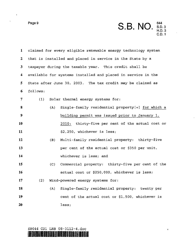$\cdot$ 

 $\ddot{\phantom{0}}$ 

**Page 9 S.B. NO.** S.D. 3 H.D.3 C.D.1

 $\pmb{g}$ 

| $\mathbf{1}$            |                                                             |     | claimed for every eligible renewable energy technology system |
|-------------------------|-------------------------------------------------------------|-----|---------------------------------------------------------------|
| $\boldsymbol{2}$        | that is installed and placed in service in the State by a   |     |                                                               |
| 3                       | taxpayer during the taxable year. This credit shall be      |     |                                                               |
| $\overline{\mathbf{4}}$ |                                                             |     | available for systems installed and placed in service in the  |
| 5                       | State after June 30, 2003. The tax credit may be claimed as |     |                                                               |
| 6                       | follows:                                                    |     |                                                               |
| $\overline{7}$          | (1)                                                         |     | Solar thermal energy systems for:                             |
| 8                       |                                                             | (A) | Single-family residential property[+] for which a             |
| 9                       |                                                             |     | building permit was issued prior to January 1,                |
| 10                      |                                                             |     | 2010: thirty-five per cent of the actual cost or              |
| 11                      |                                                             |     | \$2,250, whichever is less;                                   |
| 12                      |                                                             | (B) | Multi-family residential property: thirty-five                |
| 13                      |                                                             |     | per cent of the actual cost or \$350 per unit,                |
| 14                      |                                                             |     | whichever is less; and                                        |
| 15                      |                                                             | (C) | Commercial property: thirty-five per cent of the              |
| 16                      |                                                             |     | actual cost or \$250,000, whichever is less;                  |
| 17                      | (2)                                                         |     | Wind-powered energy systems for:                              |
| 18                      |                                                             | (A) | Single-family residential property: twenty per                |
| 19                      |                                                             |     | cent of the actual cost or \$1,500, whichever is              |
| 20                      |                                                             |     | less;                                                         |

#### SE644 CDl LRB 08-3112-4.doc 1IIIBBIIIIIIIII~IIIIIIUlllnmIIHII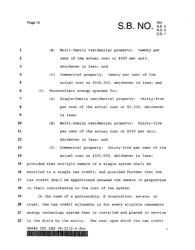Page 10

 $\bar{z}$ 

**S.B. NO.** S.D. 3 H.D.3

C.D.1

| $\mathbf{1}$    | (B)                         | Multi-family residential property: twenty per                    |
|-----------------|-----------------------------|------------------------------------------------------------------|
| 2               |                             | cent of the actual cost or \$200 per unit,                       |
| 3               |                             | whichever is less; and                                           |
| 4               | (C)                         | Commercial property: twenty per cent of the                      |
| 5               |                             | actual cost or \$500,000, whichever is less; and                 |
| 6               | (3)                         | Photovoltaic energy systems for:                                 |
| 7               | (A)                         | Single-family residential property: thirty-five                  |
| 8               |                             | per cent of the actual cost or \$5,000, whichever                |
| 9               |                             | is less;                                                         |
| 10              | (B)                         | Multi-family residential property: thirty-five                   |
| 11              |                             | per cent of the actual cost or \$350 per unit,                   |
| 12              |                             | whichever is less: and                                           |
| 13              | (C)                         | Commercial property: thirty-five per cent of the                 |
| 14              |                             | actual cost or \$500,000, whichever is less;                     |
| 15              |                             | provided that multiple owners of a single system shall be        |
| 16              |                             | entitled to a single tax credit; and provided further that the   |
| 17 <sub>1</sub> |                             | tax credit shall be apportioned between the owners in proportion |
| 18              |                             | to their contribution to the cost of the system.                 |
| 19              |                             | In the case of a partnership, S corporation, estate, or          |
| 20              |                             | trust, the tax credit allowable is for every eligible renewable  |
| 21              |                             | energy technology system that is installed and placed in service |
| 22              |                             | in the State by the entity. The cost upon which the tax credit   |
|                 | SB644 CD1 LRB 08-3112-4.doc | 10<br><u>. A sleedi je za na razle na zna</u>                    |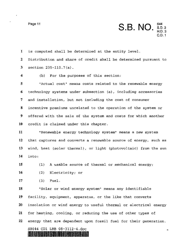Page 11 **S.B. NO. 644**  S.D.3 H.D.3 C.D.1

u

1 is computed shall be determined at the entity level. 2 Distribution and share of credit shall be determined pursuant to 3 section 235-110.7 (a) .

<sup>4</sup>(b) For the purposes of this section:

5 "Actual cost" means costs related to the renewable energy 6 technology systems under subsection (a), including accessories 7 and installation, but not including the cost of consumer 8 incentive premiums unrelated to the operation of the system or 9 offered with the sale of the system and costs for which another 10 credit is claimed under this chapter.

"Renewable energy technology system" means a new system that captures and converts a renewable source of energy, such as wind, heat (solar thermal), or light (photovoltaic) from the sun **14** into:

**15** (1) A usable source of thermal or mechanical energy;

**<sup>16</sup>**(2) Electricity; or

**17** (3) Fuel.

"Solar or wind energy system" means any identifiable facility, equipment, apparatus, or the like that converts insolation or wind energy to useful thermal or electrical energy for heating, cooling, or reducing the use of other types of energy that are dependent upon fossil fuel for their generation.

#### SB644 CDl LRB 08-3112-4.doc III vaara valit oli suralassa suu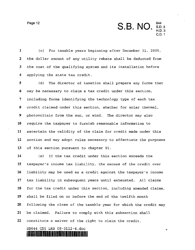Page 12 **S.B. NO.** 644<br>S.D. 3 H.D.3

C.D.1

u

1 (c) For taxable years beginning after December 31, 2005, 2 the dollar amount of any utility rebate shall be deducted from 3 the cost of the qualifying system and its installation before 4 applying the state tax credit.

5 (d) The director of taxation shall prepare any forms that 6 may be necessary to claim a tax credit under this section, 7 including forms identifying the technology type of each tax 8 credit claimed under this section, whether for solar thermal, 9 photovoltaic from the sun, or wind. The director may also **10** require the taxpayer to furnish reasonable information to **<sup>11</sup>**ascertain the validity of the claim for credit made under this **12** section and may adopt rules necessary to effectuate the purposes **<sup>13</sup>**of this section pursuant to chapter 91.

(e) If the tax credit under this section exceeds the taxpayer's income tax liability, the excess of the credit over liability may be used as a credit against the taxpayer's income tax liability in subsequent years until exhausted. All claims 18 for the tax credit under this section, including amended claims, shall be filed on or before the end of the twelfth month following the close of the taxable year for which the credit may be claimed. Failure to comply with this subsection shall constitute a waiver of the right to claim the credit. SB644 CDl LRB 08-3112-4,doc

11~.~DMllllllllllllllllllllllliUUli~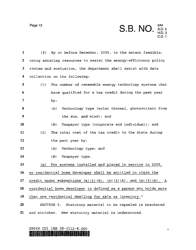$\sim$   $\sim$ 

 $\mathcal{A}^{\mathcal{A}}$ 

 $\sim$ 

| Page 13 | S.B. NO. S.D.3 | C.D. 1 |
|---------|----------------|--------|
|         |                |        |

| $\mathbf{1}$ | By or before December, 2005, to the extent feasible,<br>(f)                              |
|--------------|------------------------------------------------------------------------------------------|
| $\mathbf{2}$ | using existing resources to assist the energy-efficiency policy                          |
| 3            | review and evaluation, the department shall assist with data                             |
| 4            | collection on the following:                                                             |
| 5            | (1)<br>The number of renewable energy technology systems that                            |
| 6            | have qualified for a tax credit during the past year                                     |
| 7            | by:                                                                                      |
| 8            | Technology type (solar thermal, photovoltaic from<br>(A)                                 |
| 9            | the sun, and wind); and                                                                  |
| 10           | Taxpayer type (corporate and individual); and<br>(B)                                     |
| 11           | The total cost of the tax credit to the State during<br>(2)                              |
| 12           | the past year by:                                                                        |
| 13           | Technology type; and<br>(A)                                                              |
| 14           | (B)<br>Taxpayer type.                                                                    |
| 15           | For systems installed and placed in service in 2009,<br>(g)                              |
| 16           | no residential home developer shall be entitled to claim the                             |
| 17           | credit under subsections (a) $(1)$ $(A)$ , $(a)$ $(2)$ $(A)$ , and $(a)$ $(3)$ $(A)$ . A |
| 18           | residential home developer is defined as a person who holds more                         |
| 19           | than one residential dwelling for sale as inventory."                                    |
| 20           | SECTION 5. Statutory material to be repealed is bracketed                                |
| 21           | and stricken. New statutory material is underscored.                                     |

## SB644 CDl LRB 08-3112-4.doc **1IlIIIMUIIBIIIIIIIBIBBIIUI.MUII** "